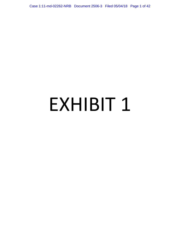Case 1:11-md-02262-NRB Document 2506-3 Filed 05/04/18 Page 1 of 42

# EXHIBIT 1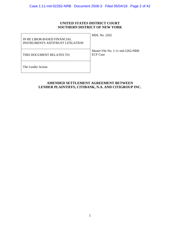# **UNITED STATES DISTRICT COURT SOUTHERN DISTRICT OF NEW YORK**

| IN RE LIBOR-BASED FINANCIAL<br><b>INSTRUMENTS ANTITRUST LITIGATION</b> | <b>MDL No. 2262</b>                                 |
|------------------------------------------------------------------------|-----------------------------------------------------|
| THIS DOCUMENT RELATES TO:                                              | Master File No. 1:11-md-2262-NRB<br><b>ECF</b> Case |
| The Lender Action                                                      |                                                     |

# **AMENDED SETTLEMENT AGREEMENT BETWEEN LENDER PLAINTIFFS, CITIBANK, N.A. AND CITIGROUP INC.**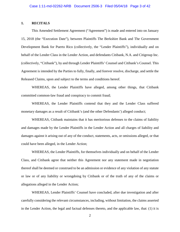## **1. RECITALS**

This Amended Settlement Agreement ("Agreement") is made and entered into on January 15, 2018 (the "Execution Date"), between Plaintiffs The Berkshire Bank and The Government Development Bank for Puerto Rico (collectively, the "Lender Plaintiffs"), individually and on behalf of the Lender Class in the Lender Action, and defendants Citibank, N.A. and Citigroup Inc. (collectively, "Citibank"), by and through Lender Plaintiffs' Counsel and Citibank's Counsel. This Agreement is intended by the Parties to fully, finally, and forever resolve, discharge, and settle the Released Claims, upon and subject to the terms and conditions hereof.

WHEREAS, the Lender Plaintiffs have alleged, among other things, that Citibank committed common-law fraud and conspiracy to commit fraud;

WHEREAS, the Lender Plaintiffs contend that they and the Lender Class suffered monetary damages as a result of Citibank's (and the other Defendants') alleged conduct;

WHEREAS, Citibank maintains that it has meritorious defenses to the claims of liability and damages made by the Lender Plaintiffs in the Lender Action and all charges of liability and damages against it arising out of any of the conduct, statements, acts, or omissions alleged, or that could have been alleged, in the Lender Action;

WHEREAS, the Lender Plaintiffs, for themselves individually and on behalf of the Lender Class, and Citibank agree that neither this Agreement nor any statement made in negotiation thereof shall be deemed or construed to be an admission or evidence of any violation of any statute or law or of any liability or wrongdoing by Citibank or of the truth of any of the claims or allegations alleged in the Lender Action;

WHEREAS, Lender Plaintiffs' Counsel have concluded, after due investigation and after carefully considering the relevant circumstances, including, without limitation, the claims asserted in the Lender Action, the legal and factual defenses thereto, and the applicable law, that: (1) it is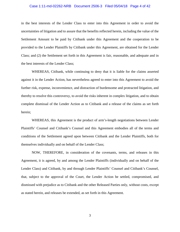# Case 1:11-md-02262-NRB Document 2506-3 Filed 05/04/18 Page 4 of 42

in the best interests of the Lender Class to enter into this Agreement in order to avoid the uncertainties of litigation and to assure that the benefits reflected herein, including the value of the Settlement Amount to be paid by Citibank under this Agreement and the cooperation to be provided to the Lender Plaintiffs by Citibank under this Agreement, are obtained for the Lender Class; and (2) the Settlement set forth in this Agreement is fair, reasonable, and adequate and in the best interests of the Lender Class;

WHEREAS, Citibank, while continuing to deny that it is liable for the claims asserted against it in the Lender Action, has nevertheless agreed to enter into this Agreement to avoid the further risk, expense, inconvenience, and distraction of burdensome and protracted litigation, and thereby to resolve this controversy, to avoid the risks inherent in complex litigation, and to obtain complete dismissal of the Lender Action as to Citibank and a release of the claims as set forth herein;

WHEREAS, this Agreement is the product of arm's-length negotiations between Lender Plaintiffs' Counsel and Citibank's Counsel and this Agreement embodies all of the terms and conditions of the Settlement agreed upon between Citibank and the Lender Plaintiffs, both for themselves individually and on behalf of the Lender Class;

NOW, THEREFORE, in consideration of the covenants, terms, and releases in this Agreement, it is agreed, by and among the Lender Plaintiffs (individually and on behalf of the Lender Class) and Citibank, by and through Lender Plaintiffs' Counsel and Citibank's Counsel, that, subject to the approval of the Court, the Lender Action be settled, compromised, and dismissed with prejudice as to Citibank and the other Released Parties only, without costs, except as stated herein, and releases be extended, as set forth in this Agreement.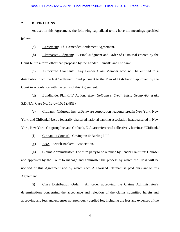# **2. DEFINITIONS**

As used in this Agreement, the following capitalized terms have the meanings specified below:

(a) Agreement: This Amended Settlement Agreement.

(b) Alternative Judgment: A Final Judgment and Order of Dismissal entered by the Court but in a form other than proposed by the Lender Plaintiffs and Citibank.

(c) Authorized Claimant: Any Lender Class Member who will be entitled to a distribution from the Net Settlement Fund pursuant to the Plan of Distribution approved by the Court in accordance with the terms of this Agreement.

(d) Bondholder Plaintiffs' Action: *Ellen Gelboim v. Credit Suisse Group AG, et al.,*  S.D.N.Y. Case No. 12-cv-1025 (NRB).

(e) Citibank: Citigroup Inc., a Delaware corporation headquartered in New York, New York, and Citibank, N.A., a federally-chartered national banking association headquartered in New York, New York. Citigroup Inc. and Citibank, N.A. are referenced collectively herein as "Citibank."

(f) Citibank's Counsel: Covington & Burling LLP.

(g) BBA: British Bankers' Association.

(h) Claims Administrator: The third party to be retained by Lender Plaintiffs' Counsel and approved by the Court to manage and administer the process by which the Class will be notified of this Agreement and by which each Authorized Claimant is paid pursuant to this Agreement.

(i) Class Distribution Order: An order approving the Claims Administrator's determinations concerning the acceptance and rejection of the claims submitted herein and approving any fees and expenses not previously applied for, including the fees and expenses of the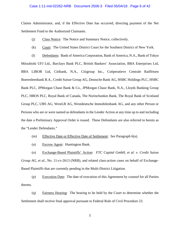## Case 1:11-md-02262-NRB Document 2506-3 Filed 05/04/18 Page 6 of 42

Claims Administrator, and, if the Effective Date has occurred, directing payment of the Net Settlement Fund to the Authorized Claimants.

- (j) Class Notice: The Notice and Summary Notice, collectively.
- (k) Court: The United States District Court for the Southern District of New York.

(l) Defendants: Bank of America Corporation, Bank of America, N.A., Bank of Tokyo Mitsubishi UFJ Ltd., Barclays Bank PLC, British Bankers' Association, BBA Enterprises Ltd, BBA LIBOR Ltd, Citibank, N.A., Citigroup Inc., Coöperatieve Centrale Raiffeisen Boerenleenbank B.A., Credit Suisse Group AG, Deutsche Bank AG, HSBC Holdings PLC, HSBC Bank PLC, JPMorgan Chase Bank & Co., JPMorgan Chase Bank, N.A., Lloyds Banking Group PLC, HBOS PLC, Royal Bank of Canada, The Norinchunkin Bank, The Royal Bank of Scotland Group PLC, UBS AG, WestLB AG, Westdeutsche Immobilenbank AG, and any other Person or Persons who are or were named as defendants in the Lender Action at any time up to and including the date a Preliminary Approval Order is issued. These Defendants are also referred to herein as the "Lender Defendants."

- (m) Effective Date or Effective Date of Settlement: *See* Paragraph 6(a).
- (n) Escrow Agent: Huntington Bank.

(o) Exchange-Based Plaintiffs' Action: *FTC Capital GmbH, et al. v. Credit Suisse Group AG, et al*., No. 11-cv-2613 (NRB), and related class-action cases on behalf of Exchange-Based Plaintiffs that are currently pending in the Multi-District Litigation.

(p) Execution Date: The date of execution of this Agreement by counsel for all Parties thereto.

(q) Fairness Hearing: The hearing to be held by the Court to determine whether the Settlement shall receive final approval pursuant to Federal Rule of Civil Procedure 23.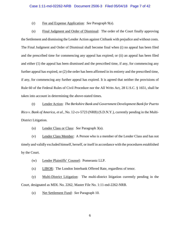# Case 1:11-md-02262-NRB Document 2506-3 Filed 05/04/18 Page 7 of 42

(r) Fee and Expense Application: *See* Paragraph 9(a).

(s) Final Judgment and Order of Dismissal: The order of the Court finally approving the Settlement and dismissing the Lender Action against Citibank with prejudice and without costs. The Final Judgment and Order of Dismissal shall become final when (i) no appeal has been filed and the prescribed time for commencing any appeal has expired; or (ii) an appeal has been filed and either (1) the appeal has been dismissed and the prescribed time, if any, for commencing any further appeal has expired, or (2) the order has been affirmed in its entirety and the prescribed time, if any, for commencing any further appeal has expired. It is agreed that neither the provisions of Rule 60 of the Federal Rules of Civil Procedure nor the All Writs Act, 28 U.S.C. § 1651, shall be taken into account in determining the above-stated times.

(t) Lender Action: *The Berkshire Bank and Government Development Bank for Puerto Rico v. Bank of America, et al.*, No. 12-cv-5723 (NRB) (S.D.N.Y.), currently pending in the Multi-District Litigation.

(u) Lender Class or Class: *See* Paragraph 3(a).

(v) Lender Class Member: A Person who is a member of the Lender Class and has not timely and validly excluded himself, herself, or itself in accordance with the procedures established by the Court.

- (w) Lender Plaintiffs' Counsel: Pomerantz LLP.
- (x) LIBOR: The London Interbank Offered Rate, regardless of tenor.

(y) Multi-District Litigation: The multi-district litigation currently pending in the Court, designated as MDL No. 2262, Master File No. 1:11-md-2262-NRB.

(z) Net Settlement Fund: *See* Paragraph 10.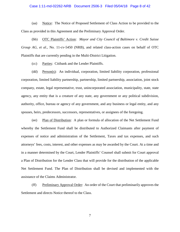#### Case 1:11-md-02262-NRB Document 2506-3 Filed 05/04/18 Page 8 of 42

(aa) Notice: The Notice of Proposed Settlement of Class Action to be provided to the Class as provided in this Agreement and the Preliminary Approval Order.

(bb) OTC Plaintiffs' Action: *Mayor and City Council of Baltimore v. Credit Suisse Group AG, et al.*, No. 11-cv-5450 (NRB), and related class-action cases on behalf of OTC Plaintiffs that are currently pending in the Multi-District Litigation.

(cc) Parties: Citibank and the Lender Plaintiffs.

(dd) Person(s): An individual, corporation, limited liability corporation, professional corporation, limited liability partnership, partnership, limited partnership, association, joint stock company, estate, legal representative, trust, unincorporated association, municipality, state, state agency, any entity that is a creature of any state, any government or any political subdivision, authority, office, bureau or agency of any government, and any business or legal entity, and any spouses, heirs, predecessors, successors, representatives, or assignees of the foregoing.

(ee) Plan of Distribution: A plan or formula of allocation of the Net Settlement Fund whereby the Settlement Fund shall be distributed to Authorized Claimants after payment of expenses of notice and administration of the Settlement, Taxes and tax expenses, and such attorneys' fees, costs, interest, and other expenses as may be awarded by the Court. At a time and in a manner determined by the Court, Lender Plaintiffs' Counsel shall submit for Court approval a Plan of Distribution for the Lender Class that will provide for the distribution of the applicable Net Settlement Fund. The Plan of Distribution shall be devised and implemented with the assistance of the Claims Administrator.

(ff) Preliminary Approval Order: An order of the Court that preliminarily approves the Settlement and directs Notice thereof to the Class.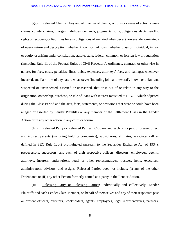## Case 1:11-md-02262-NRB Document 2506-3 Filed 05/04/18 Page 9 of 42

(gg) Released Claims: Any and all manner of claims, actions or causes of action, crossclaims, counter-claims, charges, liabilities, demands, judgments, suits, obligations, debts, setoffs, rights of recovery, or liabilities for any obligations of any kind whatsoever (however denominated), of every nature and description, whether known or unknown, whether class or individual, in law or equity or arising under constitution, statute, state, federal, common, or foreign law or regulation (including Rule 11 of the Federal Rules of Civil Procedure), ordinance, contract, or otherwise in nature, for fees, costs, penalties, fines, debts, expenses, attorneys' fees, and damages whenever incurred, and liabilities of any nature whatsoever (including joint and several), known or unknown, suspected or unsuspected, asserted or unasserted, that arise out of or relate in any way to the origination, ownership, purchase, or sale of loans with interest rates tied to LIBOR which adjusted during the Class Period and the acts, facts, statements, or omissions that were or could have been alleged or asserted by Lender Plaintiffs or any member of the Settlement Class in the Lender Action or in any other action in any court or forum.

(hh) Released Party or Released Parties: Citibank and each of its past or present direct and indirect parents (including holding companies), subsidiaries, affiliates, associates (all as defined in SEC Rule 12b-2 promulgated pursuant to the Securities Exchange Act of 1934), predecessors, successors, and each of their respective officers, directors, employees, agents, attorneys, insurers, underwriters, legal or other representatives, trustees, heirs, executors, administrators, advisors, and assigns. Released Parties does not include: (i) any of the other Defendants or (ii) any other Person formerly named as a party in the Lender Action.

(ii) Releasing Party or Releasing Parties: Individually and collectively, Lender Plaintiffs and each Lender Class Member, on behalf of themselves and any of their respective past or present officers, directors, stockholders, agents, employees, legal representatives, partners,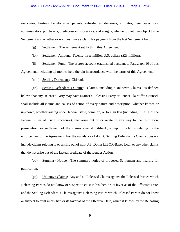## Case 1:11-md-02262-NRB Document 2506-3 Filed 05/04/18 Page 10 of 42

associates, trustees, beneficiaries, parents, subsidiaries, divisions, affiliates, heirs, executors, administrators, purchasers, predecessors, successors, and assigns, whether or not they object to the Settlement and whether or not they make a claim for payment from the Net Settlement Fund.

- (ii) Settlement: The settlement set forth in this Agreement.
- (kk) Settlement Amount: Twenty-three million U.S. dollars (\$23 million).

(ll) Settlement Fund: The escrow account established pursuant to Paragraph 10 of this Agreement, including all monies held therein in accordance with the terms of this Agreement.

(mm) Settling Defendant: Citibank.

(nn) Settling Defendant's Claims: Claims, including "Unknown Claims" as defined below, that any Released Party may have against a Releasing Party or Lender Plaintiffs' Counsel, shall include all claims and causes of action of every nature and description, whether known or unknown, whether arising under federal, state, common, or foreign law (including Rule 11 of the Federal Rules of Civil Procedure), that arise out of or relate in any way to the institution, prosecution, or settlement of the claims against Citibank, except for claims relating to the enforcement of the Agreement. For the avoidance of doubt, Settling Defendant's Claims does not include claims relating to or arising out of non-U.S. Dollar LIBOR-Based Loan or any other claims that do not arise out of the factual predicate of the Lender Action.

(oo) Summary Notice: The summary notice of proposed Settlement and hearing for publication.

(pp) Unknown Claims: Any and all Released Claims against the Released Parties which Releasing Parties do not know or suspect to exist in his, her, or its favor as of the Effective Date, and the Settling Defendant's Claims against Releasing Parties which Released Parties do not know or suspect to exist in his, her, or its favor as of the Effective Date, which if known by the Releasing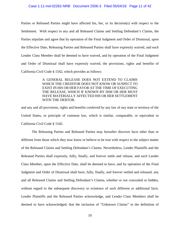#### Case 1:11-md-02262-NRB Document 2506-3 Filed 05/04/18 Page 11 of 42

Parties or Released Parties might have affected his, her, or its decision(s) with respect to the Settlement. With respect to any and all Released Claims and Settling Defendant's Claims, the Parties stipulate and agree that by operation of the Final Judgment and Order of Dismissal, upon the Effective Date, Releasing Parties and Released Parties shall have expressly waived, and each Lender Class Member shall be deemed to have waived, and by operation of the Final Judgment and Order of Dismissal shall have expressly waived, the provisions, rights and benefits of California Civil Code § 1542, which provides as follows:

> A GENERAL RELEASE DOES NOT EXTEND TO CLAIMS WHICH THE CREDITOR DOES NOT KNOW OR SUSPECT TO EXIST IN HIS OR HER FAVOR AT THE TIME OF EXECUTING THE RELEASE, WHICH IF KNOWN BY HIM OR HER MUST HAVE MATERIALLY AFFECTED HIS OR HER SETTLEMENT WITH THE DEBTOR.

and any and all provisions, rights and benefits conferred by any law of any state or territory of the United States, or principle of common law, which is similar, comparable, or equivalent to California Civil Code § 1542.

The Releasing Parties and Released Parties may hereafter discover facts other than or different from those which they now know or believe to be true with respect to the subject matter of the Released Claims and Settling Defendant's Claims. Nevertheless, Lender Plaintiffs and the Released Parties shall expressly, fully, finally, and forever settle and release, and each Lender Class Member, upon the Effective Date, shall be deemed to have, and by operation of the Final Judgment and Order of Dismissal shall have, fully, finally, and forever settled and released, any and all Released Claims and Settling Defendant's Claims, whether or not concealed or hidden, without regard to the subsequent discovery or existence of such different or additional facts. Lender Plaintiffs and the Released Parties acknowledge, and Lender Class Members shall be deemed to have acknowledged, that the inclusion of "Unknown Claims" in the definition of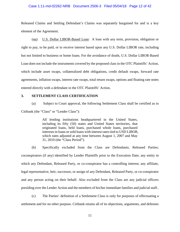### Case 1:11-md-02262-NRB Document 2506-3 Filed 05/04/18 Page 12 of 42

Released Claims and Settling Defendant's Claims was separately bargained for and is a key element of the Agreement.

(qq) U.S. Dollar LIBOR-Based Loan: A loan with any term, provision, obligation or right to pay, to be paid, or to receive interest based upon any U.S. Dollar LIBOR rate, including but not limited to business or home loans. For the avoidance of doubt, U.S. Dollar LIBOR-Based Loan does not include the instruments covered by the proposed class in the OTC Plaintiffs' Action, which include asset swaps, collateralized debt obligations, credit default swaps, forward rate agreements, inflation swaps, interest rate swaps, total return swaps, options and floating rate notes entered directly with a defendant in the OTC Plaintiffs' Action.

## **3. SETTLEMENT CLASS CERTIFICATION**

(a) Subject to Court approval, the following Settlement Class shall be certified as to Citibank (the "Class" or "Lender Class"):

> All lending institutions headquartered in the United States, including its fifty (50) states and United States territories, that originated loans, held loans, purchased whole loans, purchased interests in loans or sold loans with interest rates tied to USD LIBOR, which rates adjusted at any time between August 1, 2007 and May 31, 2010 (the "Class Period").

(b) Specifically excluded from the Class are Defendants; Released Parties; coconspirators (if any) identified by Lender Plaintiffs prior to the Execution Date; any entity in which any Defendant, Released Party, or co-conspirator has a controlling interest; any affiliate, legal representative, heir, successor, or assign of any Defendant, Released Party, or co-conspirator and any person acting on their behalf. Also excluded from the Class are any judicial officers presiding over the Lender Action and the members of his/her immediate families and judicial staff..

(c) The Parties' definition of a Settlement Class is only for purposes of effectuating a settlement and for no other purpose. Citibank retains all of its objections, arguments, and defenses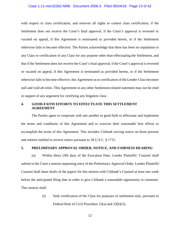## Case 1:11-md-02262-NRB Document 2506-3 Filed 05/04/18 Page 13 of 42

with respect to class certification, and reserves all rights to contest class certification, if the Settlement does not receive the Court's final approval, if the Court's approval is reversed or vacated on appeal, if this Agreement is terminated as provided herein, or if the Settlement otherwise fails to become effective. The Parties acknowledge that there has been no stipulation to any Class or certification of any Class for any purpose other than effectuating the Settlement, and that if the Settlement does not receive the Court's final approval, if the Court's approval is reversed or vacated on appeal, if this Agreement is terminated as provided herein, or if the Settlement otherwise fails to become effective, this Agreement as to certification of the Lender Class becomes null and void *ab initio*. This Agreement or any other Settlement-related statement may not be cited in support of any argument for certifying any litigation class.

## **4. GOOD-FAITH EFFORTS TO EFFECTUATE THIS SETTLEMENT AGREEMENT**

The Parties agree to cooperate with one another in good faith to effectuate and implement the terms and conditions of this Agreement and to exercise their reasonable best efforts to accomplish the terms of this Agreement. This includes Citibank serving notice on those persons and entities entitled to receive notice pursuant to 28 U.S.C. § 1715.

## **5. PRELIMINARY APPROVAL ORDER, NOTICE, AND FAIRNESS HEARING**

(a) Within thirty (30) days of the Execution Date, Lender Plaintiffs' Counsel shall submit to the Court a motion requesting entry of the Preliminary Approval Order. Lender Plaintiffs' Counsel shall share drafts of the papers for this motion with Citibank's Counsel at least one week before the anticipated filing date in order to give Citibank a reasonable opportunity to comment. This motion shall:

> (i) Seek certification of the Class for purposes of settlement only, pursuant to Federal Rule of Civil Procedure 23(a) and 23(b)(3);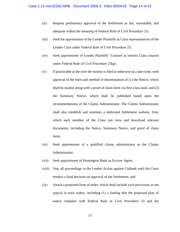- (ii) Request preliminary approval of the Settlement as fair, reasonable, and adequate within the meaning of Federal Rule of Civil Procedure 23;
- (iii) Seek the appointment of the Lender Plaintiffs as Class representatives of the Lender Class under Federal Rule of Civil Procedure 23;
- (iv) Seek appointment of Lender Plaintiffs' Counsel as interim Class counsel under Federal Rule of Civil Procedure 23(g);
- (v) If practicable at the time the motion is filed or otherwise at a later time, seek approval of the form and method of dissemination of (1) the Notice, which shall be mailed along with a proof of claim form via first-class mail, and (2) the Summary Notice, which shall be published based upon the recommendations of the Claims Administrator. The Claims Administrator shall also establish and maintain a dedicated Settlement website, from which each member of the Class can view and download relevant documents, including the Notice, Summary Notice, and proof of claim form;
- (vi) Seek appointment of a qualified claims administrator as the Claims Administrator;
- (vii) Seek appointment of Huntington Bank as Escrow Agent;
- (viii) Stay all proceedings in the Lender Action against Citibank until the Court renders a final decision on approval of the Settlement; and
- (ix) Attach a proposed form of order, which shall include such provisions as are typical in such orders, including (1) a finding that the proposed plan of notice complies with Federal Rule of Civil Procedure 23 and the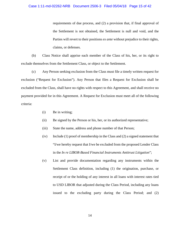requirements of due process, and (2) a provision that, if final approval of the Settlement is not obtained, the Settlement is null and void, and the Parties will revert to their positions *ex ante* without prejudice to their rights, claims, or defenses.

(b) Class Notice shall apprise each member of the Class of his, her, or its right to exclude themselves from the Settlement Class, or object to the Settlement.

(c) Any Person seeking exclusion from the Class must file a timely written request for exclusion ("Request for Exclusion"). Any Person that files a Request for Exclusion shall be excluded from the Class, shall have no rights with respect to this Agreement, and shall receive no payment provided for in this Agreement. A Request for Exclusion must meet all of the following criteria:

- (i) Be in writing;
- (ii) Be signed by the Person or his, her, or its authorized representative;
- (iii) State the name, address and phone number of that Person;
- (iv) Include (1) proof of membership in the Class and (2) a signed statement that "I/we hereby request that I/we be excluded from the proposed Lender Class in the *In re LIBOR-Based Financial Instruments Antitrust Litigation*";
- (v) List and provide documentation regarding any instruments within the Settlement Class definition, including (1) the origination, purchase, or receipt of or the holding of any interest in all loans with interest rates tied to USD LIBOR that adjusted during the Class Period, including any loans issued to the excluding party during the Class Period; and (2)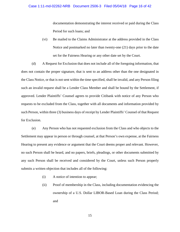documentation demonstrating the interest received or paid during the Class Period for such loans; and

(vi) Be mailed to the Claims Administrator at the address provided in the Class Notice and postmarked no later than twenty-one (21) days prior to the date set for the Fairness Hearing or any other date set by the Court.

(d) A Request for Exclusion that does not include all of the foregoing information, that does not contain the proper signature, that is sent to an address other than the one designated in the Class Notice, or that is not sent within the time specified, shall be invalid, and any Person filing such an invalid request shall be a Lender Class Member and shall be bound by the Settlement, if approved. Lender Plaintiffs' Counsel agrees to provide Citibank with notice of any Person who requests to be excluded from the Class, together with all documents and information provided by such Person, within three (3) business days of receipt by Lender Plaintiffs' Counsel of that Request for Exclusion.

(e) Any Person who has not requested exclusion from the Class and who objects to the Settlement may appear in person or through counsel, at that Person's own expense, at the Fairness Hearing to present any evidence or argument that the Court deems proper and relevant. However, no such Person shall be heard, and no papers, briefs, pleadings, or other documents submitted by any such Person shall be received and considered by the Court, unless such Person properly submits a written objection that includes all of the following:

- (i) A notice of intention to appear;
- (ii) Proof of membership in the Class, including documentation evidencing the ownership of a U.S. Dollar LIBOR-Based Loan during the Class Period; and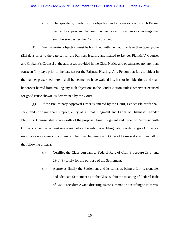(iii) The specific grounds for the objection and any reasons why such Person desires to appear and be heard, as well as all documents or writings that such Person desires the Court to consider.

(f) Such a written objection must be both filed with the Court no later than twenty-one (21) days prior to the date set for the Fairness Hearing and mailed to Lender Plaintiffs' Counsel and Citibank's Counsel at the addresses provided in the Class Notice and postmarked no later than fourteen (14) days prior to the date set for the Fairness Hearing. Any Person that fails to object in the manner prescribed herein shall be deemed to have waived his, her, or its objections and shall be forever barred from making any such objections in the Lender Action, unless otherwise excused for good cause shown, as determined by the Court.

(g) If the Preliminary Approval Order is entered by the Court, Lender Plaintiffs shall seek, and Citibank shall support, entry of a Final Judgment and Order of Dismissal. Lender Plaintiffs' Counsel shall share drafts of the proposed Final Judgment and Order of Dismissal with Citibank's Counsel at least one week before the anticipated filing date in order to give Citibank a reasonable opportunity to comment. The Final Judgment and Order of Dismissal shall meet all of the following criteria:

- (i) Certifies the Class pursuant to Federal Rule of Civil Procedure 23(a) and 23(b)(3) solely for the purpose of the Settlement;
- (ii) Approves finally the Settlement and its terms as being a fair, reasonable, and adequate Settlement as to the Class within the meaning of Federal Rule of Civil Procedure 23 and directing its consummation according to its terms;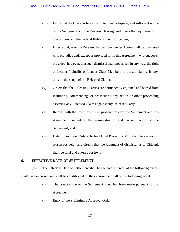- (iii) Finds that the Class Notice constituted due, adequate, and sufficient notice of the Settlement and the Fairness Hearing, and meets the requirements of due process and the Federal Rules of Civil Procedure;
- (iv) Directs that, as to the Released Parties, the Lender Action shall be dismissed with prejudice and, except as provided for in this Agreement, without costs; provided, however, that such dismissal shall not affect, in any way, the right of Lender Plaintiffs or Lender Class Members to pursue claims, if any, outside the scope of the Released Claims;
- (v) Orders that the Releasing Parties are permanently enjoined and barred from instituting, commencing, or prosecuting any action or other proceeding asserting any Released Claims against any Released Party;
- (vi) Retains with the Court exclusive jurisdiction over the Settlement and this Agreement, including the administration and consummation of the Settlement; and
- (vii) Determines under Federal Rule of Civil Procedure 54(b) that there is no just reason for delay and directs that the judgment of dismissal as to Citibank shall be final and entered forthwith.

# **6. EFFECTIVE DATE OF SETTLEMENT**

(a) The Effective Date of Settlement shall be the date when all of the following events shall have occurred and shall be conditioned on the occurrence of all of the following events:

- (i) The contribution to the Settlement Fund has been made pursuant to this Agreement;
- (ii) Entry of the Preliminary Approval Order;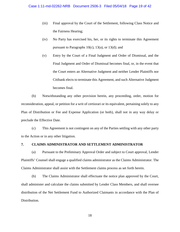- (iii) Final approval by the Court of the Settlement, following Class Notice and the Fairness Hearing;
- (iv) No Party has exercised his, her, or its rights to terminate this Agreement pursuant to Paragraphs 10(c), 13(a), or 13(d); and
- (v) Entry by the Court of a Final Judgment and Order of Dismissal, and the Final Judgment and Order of Dismissal becomes final, or, in the event that the Court enters an Alternative Judgment and neither Lender Plaintiffs nor Citibank elects to terminate this Agreement, and such Alternative Judgment becomes final.

(b) Notwithstanding any other provision herein, any proceeding, order, motion for reconsideration, appeal, or petition for a writ of certiorari or its equivalent, pertaining solely to any Plan of Distribution or Fee and Expense Application (or both), shall not in any way delay or preclude the Effective Date.

(c) This Agreement is not contingent on any of the Parties settling with any other party to the Action or in any other litigation.

## **7. CLAIMS ADMINISTRATOR AND SETTLEMENT ADMINISTRATOR**

(a) Pursuant to the Preliminary Approval Order and subject to Court approval, Lender Plaintiffs' Counsel shall engage a qualified claims administrator as the Claims Administrator. The Claims Administrator shall assist with the Settlement claims process as set forth herein.

(b) The Claims Administrator shall effectuate the notice plan approved by the Court, shall administer and calculate the claims submitted by Lender Class Members, and shall oversee distribution of the Net Settlement Fund to Authorized Claimants in accordance with the Plan of Distribution.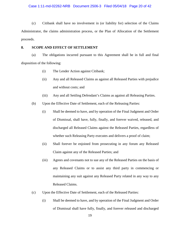## Case 1:11-md-02262-NRB Document 2506-3 Filed 05/04/18 Page 20 of 42

(c) Citibank shall have no involvement in (or liability for) selection of the Claims Administrator, the claims administration process, or the Plan of Allocation of the Settlement proceeds.

## **8. SCOPE AND EFFECT OF SETTLEMENT**

(a) The obligations incurred pursuant to this Agreement shall be in full and final disposition of the following:

- (i) The Lender Action against Citibank;
- (ii) Any and all Released Claims as against all Released Parties with prejudice and without costs; and
- (iii) Any and all Settling Defendant's Claims as against all Releasing Parties.
- (b) Upon the Effective Date of Settlement, each of the Releasing Parties:
	- (i) Shall be deemed to have, and by operation of the Final Judgment and Order of Dismissal, shall have, fully, finally, and forever waived, released, and discharged all Released Claims against the Released Parties, regardless of whether such Releasing Party executes and delivers a proof of claim;
	- (ii) Shall forever be enjoined from prosecuting in any forum any Released Claim against any of the Released Parties; and
	- (iii) Agrees and covenants not to sue any of the Released Parties on the basis of any Released Claims or to assist any third party in commencing or maintaining any suit against any Released Party related in any way to any Released Claims.
- (c) Upon the Effective Date of Settlement, each of the Released Parties:
	- (i) Shall be deemed to have, and by operation of the Final Judgment and Order of Dismissal shall have fully, finally, and forever released and discharged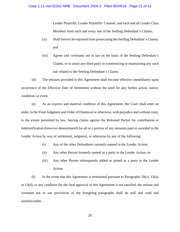Lender Plaintiffs, Lender Plaintiffs' Counsel, and each and all Lender Class Members from each and every one of the Settling Defendant's Claims;

- (ii) Shall forever be enjoined from prosecuting the Settling Defendant's Claims; and
- (iii) Agrees and covenants not to sue on the basis of the Settling Defendant's Claims, or to assist any third party in commencing or maintaining any such suit related to the Settling Defendant's Claims.

(d) The releases provided in this Agreement shall become effective immediately upon occurrence of the Effective Date of Settlement without the need for any further action, notice, condition, or event.

(e) As an express and material condition of this Agreement, the Court shall enter an order, in the Final Judgment and Order of Dismissal or otherwise, with prejudice and without costs, to the extent permitted by law, barring claims against the Released Parties for contribution or indemnification (however denominated) for all or a portion of any amounts paid or awarded in the Lender Action by way of settlement, judgment, or otherwise by any of the following:

- (i) Any of the other Defendants currently named in the Lender Action;
- (ii) Any other Person formerly named as a party in the Lender Action; or
- (iii) Any other Person subsequently added or joined as a party in the Lender Action.

(f) In the event that this Agreement is terminated pursuant to Paragraphs  $10(c)$ ,  $13(a)$ , or 13(d), or any condition for the final approval of this Agreement is not satisfied, the release and covenant not to sue provisions of the foregoing paragraphs shall be null and void and unenforceable.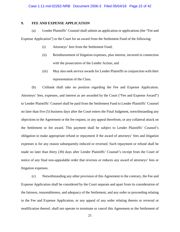## **9. FEE AND EXPENSE APPLICATION**

(a) Lender Plaintiffs' Counsel shall submit an application or applications (the "Fee and

Expense Application") to the Court for an award from the Settlement Fund of the following:

- (i) Attorneys' fees from the Settlement Fund;
- (ii) Reimbursement of litigation expenses, plus interest, incurred in connection with the prosecution of the Lender Action; and
- (iii) May also seek service awards for Lender Plaintiffs in conjunction with their representation of the Class.

(b) Citibank shall take no position regarding the Fee and Expense Application. Attorneys' fees, expenses, and interest as are awarded by the Court ("Fee and Expense Award") to Lender Plaintiffs' Counsel shall be paid from the Settlement Fund to Lender Plaintiffs' Counsel no later than five (5) business days after the Court enters the Final Judgment, notwithstanding any objections to the Agreement or the fee request, or any appeal therefrom, or any collateral attack on the Settlement or fee award. This payment shall be subject to Lender Plaintiffs' Counsel's obligation to make appropriate refund or repayment if the award of attorneys' fees and litigation expenses is for any reason subsequently reduced or reversed. Such repayment or refund shall be made no later than thirty (30) days after Lender Plaintiffs' Counsel's receipt from the Court of notice of any final non-appealable order that reverses or reduces any award of attorneys' fees or litigation expenses.

(c) Notwithstanding any other provision of this Agreement to the contrary, the Fee and Expense Application shall be considered by the Court separate and apart from its consideration of the fairness, reasonableness, and adequacy of the Settlement, and any order or proceeding relating to the Fee and Expense Application, or any appeal of any order relating thereto or reversal or modification thereof, shall not operate to terminate or cancel this Agreement or the Settlement of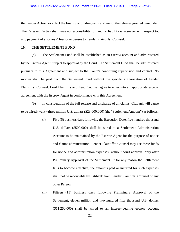## Case 1:11-md-02262-NRB Document 2506-3 Filed 05/04/18 Page 23 of 42

the Lender Action, or affect the finality or binding nature of any of the releases granted hereunder. The Released Parties shall have no responsibility for, and no liability whatsoever with respect to, any payment of attorneys' fees or expenses to Lender Plaintiffs' Counsel.

## **10. THE SETTLEMENT FUND**

(a) The Settlement Fund shall be established as an escrow account and administered by the Escrow Agent, subject to approval by the Court. The Settlement Fund shall be administered pursuant to this Agreement and subject to the Court's continuing supervision and control. No monies shall be paid from the Settlement Fund without the specific authorization of Lender Plaintiffs' Counsel. Lead Plaintiffs and Lead Counsel agree to enter into an appropriate escrow agreement with the Escrow Agent in conformance with this Agreement.

(b) In consideration of the full release and discharge of all claims, Citibank will cause to be wired twenty-three million U.S. dollars (\$23,000,000) (the "Settlement Amount") as follows:

- (i) Five (5) business days following the Execution Date, five hundred thousand U.S. dollars (\$500,000) shall be wired to a Settlement Administration Account to be maintained by the Escrow Agent for the purpose of notice and claims administration. Lender Plaintiffs' Counsel may use these funds for notice and administration expenses, without court approval only after Preliminary Approval of the Settlement. If for any reason the Settlement fails to become effective, the amounts paid or incurred for such expenses shall not be recoupable by Citibank from Lender Plaintiffs' Counsel or any other Person.
- (ii) Fifteen (15) business days following Preliminary Approval of the Settlement, eleven million and two hundred fifty thousand U.S. dollars (\$11,250,000) shall be wired to an interest-bearing escrow account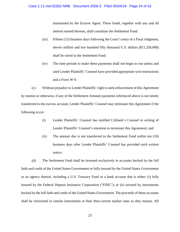maintained by the Escrow Agent. These funds, together with any and all interest earned thereon, shall constitute the Settlement Fund.

- (iii) Fifteen (15) business days following the Court's entry of a Final Judgment, eleven million and two hundred fifty thousand U.S. dollars (\$11,250,000) shall be wired to the Settlement Fund.
- (iv) The time periods to make these payments shall not begin to run unless and until Lender Plaintiffs' Counsel have provided appropriate wire instructions and a Form W-9.

(c) Without prejudice to Lender Plaintiffs' right to seek enforcement of this Agreement by motion or otherwise, if any of the Settlement Amount payments referenced above is not timely transferred to the escrow account, Lender Plaintiffs' Counsel may terminate this Agreement if the following occur:

- (i) Lender Plaintiffs' Counsel has notified Citibank's Counsel in writing of Lender Plaintiffs' Counsel's intention to terminate this Agreement; and
- (ii) The amount due is not transferred to the Settlement Fund within ten (10) business days after Lender Plaintiffs' Counsel has provided such written notice.

(d) The Settlement Fund shall be invested exclusively in accounts backed by the full faith and credit of the United States Government or fully insured by the United States Government or an agency thereof, including a U.S. Treasury Fund or a bank account that is either: (i) fully insured by the Federal Deposit Insurance Corporation ("FDIC"); or (ii) secured by instruments backed by the full faith and credit of the United States Government. The proceeds of these accounts shall be reinvested in similar instruments at their then-current market rates as they mature. All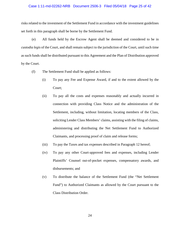## Case 1:11-md-02262-NRB Document 2506-3 Filed 05/04/18 Page 25 of 42

risks related to the investment of the Settlement Fund in accordance with the investment guidelines set forth in this paragraph shall be borne by the Settlement Fund.

(e) All funds held by the Escrow Agent shall be deemed and considered to be in *custodia legis* of the Court, and shall remain subject to the jurisdiction of the Court, until such time as such funds shall be distributed pursuant to this Agreement and the Plan of Distribution approved by the Court.

- (f) The Settlement Fund shall be applied as follows:
	- (i) To pay any Fee and Expense Award, if and to the extent allowed by the Court;
	- (ii) To pay all the costs and expenses reasonably and actually incurred in connection with providing Class Notice and the administration of the Settlement, including, without limitation, locating members of the Class, soliciting Lender Class Members' claims, assisting with the filing of claims, administering and distributing the Net Settlement Fund to Authorized Claimants, and processing proof of claim and release forms;
	- (iii) To pay the Taxes and tax expenses described in Paragraph 12 hereof;
	- (iv) To pay any other Court-approved fees and expenses, including Lender Plaintiffs' Counsel out-of-pocket expenses, compensatory awards, and disbursements; and
	- (v) To distribute the balance of the Settlement Fund (the "Net Settlement Fund") to Authorized Claimants as allowed by the Court pursuant to the Class Distribution Order.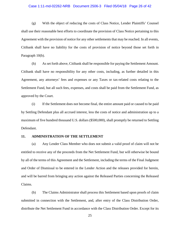## Case 1:11-md-02262-NRB Document 2506-3 Filed 05/04/18 Page 26 of 42

(g) With the object of reducing the costs of Class Notice, Lender Plaintiffs' Counsel shall use their reasonable best efforts to coordinate the provision of Class Notice pertaining to this Agreement with the provision of notice for any other settlements that may be reached. In all events, Citibank shall have no liability for the costs of provision of notice beyond those set forth in Paragraph 10(b).

(h) As set forth above, Citibank shall be responsible for paying the Settlement Amount. Citibank shall have no responsibility for any other costs, including, as further detailed in this Agreement, any attorneys' fees and expenses or any Taxes or tax-related costs relating to the Settlement Fund, but all such fees, expenses, and costs shall be paid from the Settlement Fund, as approved by the Court.

(i) If the Settlement does not become final, the entire amount paid or caused to be paid by Settling Defendant plus all accrued interest, less the costs of notice and administration up to a maximum of five hundred thousand U.S. dollars (\$500,000), shall promptly be returned to Settling Defendant.

## **11. ADMINISTRATION OF THE SETTLEMENT**

(a) Any Lender Class Member who does not submit a valid proof of claim will not be entitled to receive any of the proceeds from the Net Settlement Fund, but will otherwise be bound by all of the terms of this Agreement and the Settlement, including the terms of the Final Judgment and Order of Dismissal to be entered in the Lender Action and the releases provided for herein, and will be barred from bringing any action against the Released Parties concerning the Released Claims.

(b) The Claims Administrator shall process this Settlement based upon proofs of claim submitted in connection with the Settlement, and, after entry of the Class Distribution Order, distribute the Net Settlement Fund in accordance with the Class Distribution Order. Except for its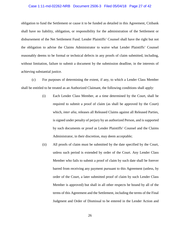#### Case 1:11-md-02262-NRB Document 2506-3 Filed 05/04/18 Page 27 of 42

obligation to fund the Settlement or cause it to be funded as detailed in this Agreement, Citibank shall have no liability, obligation, or responsibility for the administration of the Settlement or disbursement of the Net Settlement Fund. Lender Plaintiffs' Counsel shall have the right but not the obligation to advise the Claims Administrator to waive what Lender Plaintiffs' Counsel reasonably deems to be formal or technical defects in any proofs of claim submitted, including, without limitation, failure to submit a document by the submission deadline, in the interests of achieving substantial justice.

(c) For purposes of determining the extent, if any, to which a Lender Class Member shall be entitled to be treated as an Authorized Claimant, the following conditions shall apply:

- (i) Each Lender Class Member, at a time determined by the Court, shall be required to submit a proof of claim (as shall be approved by the Court) which, *inter alia*, releases all Released Claims against all Released Parties, is signed under penalty of perjury by an authorized Person, and is supported by such documents or proof as Lender Plaintiffs' Counsel and the Claims Administrator, in their discretion, may deem acceptable;
- (ii) All proofs of claim must be submitted by the date specified by the Court, unless such period is extended by order of the Court. Any Lender Class Member who fails to submit a proof of claim by such date shall be forever barred from receiving any payment pursuant to this Agreement (unless, by order of the Court, a later submitted proof of claim by such Lender Class Member is approved) but shall in all other respects be bound by all of the terms of this Agreement and the Settlement, including the terms of the Final Judgment and Order of Dismissal to be entered in the Lender Action and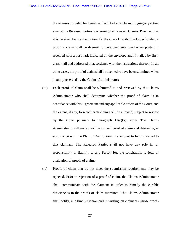the releases provided for herein, and will be barred from bringing any action against the Released Parties concerning the Released Claims. Provided that it is received before the motion for the Class Distribution Order is filed, a proof of claim shall be deemed to have been submitted when posted, if received with a postmark indicated on the envelope and if mailed by firstclass mail and addressed in accordance with the instructions thereon. In all other cases, the proof of claim shall be deemed to have been submitted when actually received by the Claims Administrator;

- (iii) Each proof of claim shall be submitted to and reviewed by the Claims Administrator who shall determine whether the proof of claim is in accordance with this Agreement and any applicable orders of the Court, and the extent, if any, to which each claim shall be allowed, subject to review by the Court pursuant to Paragraph 11(c)(v), *infra*. The Claims Administrator will review each approved proof of claim and determine, in accordance with the Plan of Distribution, the amount to be distributed to that claimant. The Released Parties shall not have any role in, or responsibility or liability to any Person for, the solicitation, review, or evaluation of proofs of claim;
- (iv) Proofs of claim that do not meet the submission requirements may be rejected. Prior to rejection of a proof of claim, the Claims Administrator shall communicate with the claimant in order to remedy the curable deficiencies in the proofs of claim submitted. The Claims Administrator shall notify, in a timely fashion and in writing, all claimants whose proofs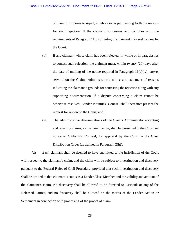of claim it proposes to reject, in whole or in part, setting forth the reasons for such rejection. If the claimant so desires and complies with the requirements of Paragraph 11(c)(v), *infra*, the claimant may seek review by the Court;

- (v) If any claimant whose claim has been rejected, in whole or in part, desires to contest such rejection, the claimant must, within twenty (20) days after the date of mailing of the notice required in Paragraph 11(c)(iv), *supra*, serve upon the Claims Administrator a notice and statement of reasons indicating the claimant's grounds for contesting the rejection along with any supporting documentation. If a dispute concerning a claim cannot be otherwise resolved, Lender Plaintiffs' Counsel shall thereafter present the request for review to the Court; and
- (vi) The administrative determinations of the Claims Administrator accepting and rejecting claims, as the case may be, shall be presented to the Court, on notice to Citibank's Counsel, for approval by the Court in the Class Distribution Order (as defined in Paragraph 2(h)).

(d) Each claimant shall be deemed to have submitted to the jurisdiction of the Court with respect to the claimant's claim, and the claim will be subject to investigation and discovery pursuant to the Federal Rules of Civil Procedure, provided that such investigation and discovery shall be limited to that claimant's status as a Lender Class Member and the validity and amount of the claimant's claim. No discovery shall be allowed to be directed to Citibank or any of the Released Parties, and no discovery shall be allowed on the merits of the Lender Action or Settlement in connection with processing of the proofs of claim.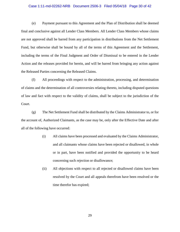#### Case 1:11-md-02262-NRB Document 2506-3 Filed 05/04/18 Page 30 of 42

(e) Payment pursuant to this Agreement and the Plan of Distribution shall be deemed final and conclusive against all Lender Class Members. All Lender Class Members whose claims are not approved shall be barred from any participation in distributions from the Net Settlement Fund, but otherwise shall be bound by all of the terms of this Agreement and the Settlement, including the terms of the Final Judgment and Order of Dismissal to be entered in the Lender Action and the releases provided for herein, and will be barred from bringing any action against the Released Parties concerning the Released Claims.

(f) All proceedings with respect to the administration, processing, and determination of claims and the determination of all controversies relating thereto, including disputed questions of law and fact with respect to the validity of claims, shall be subject to the jurisdiction of the Court.

(g) The Net Settlement Fund shall be distributed by the Claims Administrator to, or for the account of, Authorized Claimants, as the case may be, only after the Effective Date and after all of the following have occurred:

- (i) All claims have been processed and evaluated by the Claims Administrator, and all claimants whose claims have been rejected or disallowed, in whole or in part, have been notified and provided the opportunity to be heard concerning such rejection or disallowance;
- (ii) All objections with respect to all rejected or disallowed claims have been resolved by the Court and all appeals therefrom have been resolved or the time therefor has expired;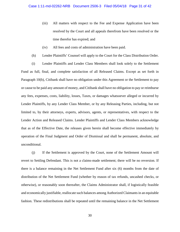- (iii) All matters with respect to the Fee and Expense Application have been resolved by the Court and all appeals therefrom have been resolved or the time therefor has expired; and
- (iv) All fees and costs of administration have been paid.
- (h) Lender Plaintiffs' Counsel will apply to the Court for the Class Distribution Order.

(i) Lender Plaintiffs and Lender Class Members shall look solely to the Settlement Fund as full, final, and complete satisfaction of all Released Claims. Except as set forth in Paragraph 10(b), Citibank shall have no obligation under this Agreement or the Settlement to pay or cause to be paid any amount of money, and Citibank shall have no obligation to pay or reimburse any fees, expenses, costs, liability, losses, Taxes, or damages whatsoever alleged or incurred by Lender Plaintiffs, by any Lender Class Member, or by any Releasing Parties, including, but not limited to, by their attorneys, experts, advisors, agents, or representatives, with respect to the Lender Action and Released Claims. Lender Plaintiffs and Lender Class Members acknowledge that as of the Effective Date, the releases given herein shall become effective immediately by operation of the Final Judgment and Order of Dismissal and shall be permanent, absolute, and unconditional.

(j) If the Settlement is approved by the Court, none of the Settlement Amount will revert to Settling Defendant. This is not a claims-made settlement; there will be no reversion. If there is a balance remaining in the Net Settlement Fund after six (6) months from the date of distribution of the Net Settlement Fund (whether by reason of tax refunds, uncashed checks, or otherwise), or reasonably soon thereafter, the Claims Administrator shall, if logistically feasible and economically justifiable, reallocate such balances among Authorized Claimants in an equitable fashion. These redistributions shall be repeated until the remaining balance in the Net Settlement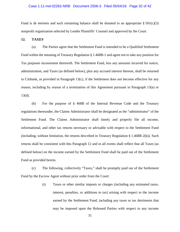## Case 1:11-md-02262-NRB Document 2506-3 Filed 05/04/18 Page 32 of 42

Fund is *de minimis* and such remaining balance shall be donated to an appropriate  $\S 501(c)(3)$ nonprofit organization selected by Lender Plaintiffs' Counsel and approved by the Court.

## **12. TAXES**

(a) The Parties agree that the Settlement Fund is intended to be a Qualified Settlement Fund within the meaning of Treasury Regulation § 1.468B-1 and agree not to take any position for Tax purposes inconsistent therewith. The Settlement Fund, less any amounts incurred for notice, administration, and Taxes (as defined below), plus any accrued interest thereon, shall be returned to Citibank, as provided in Paragraph 13(c), if the Settlement does not become effective for any reason, including by reason of a termination of this Agreement pursuant to Paragraph 13(a) or 13(d).

(b) For the purpose of § 468B of the Internal Revenue Code and the Treasury regulations thereunder, the Claims Administrator shall be designated as the "administrator" of the Settlement Fund. The Claims Administrator shall timely and properly file all income, informational, and other tax returns necessary or advisable with respect to the Settlement Fund (including, without limitation, the returns described in Treasury Regulation § 1.468B-2(k)). Such returns shall be consistent with this Paragraph 12 and in all events shall reflect that all Taxes (as defined below) on the income earned by the Settlement Fund shall be paid out of the Settlement Fund as provided herein.

(c) The following, collectively "Taxes," shall be promptly paid out of the Settlement Fund by the Escrow Agent without prior order from the Court:

> (i) Taxes or other similar imposts or charges (including any estimated taxes, interest, penalties, or additions to tax) arising with respect to the income earned by the Settlement Fund, including any taxes or tax detriments that may be imposed upon the Released Parties with respect to any income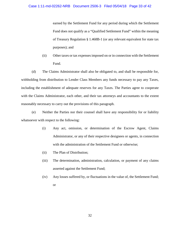earned by the Settlement Fund for any period during which the Settlement Fund does not qualify as a "Qualified Settlement Fund" within the meaning of Treasury Regulation § 1.468B-1 (or any relevant equivalent for state tax purposes); and

(ii) Other taxes or tax expenses imposed on or in connection with the Settlement Fund.

(d) The Claims Administrator shall also be obligated to, and shall be responsible for, withholding from distribution to Lender Class Members any funds necessary to pay any Taxes, including the establishment of adequate reserves for any Taxes. The Parties agree to cooperate with the Claims Administrator, each other, and their tax attorneys and accountants to the extent reasonably necessary to carry out the provisions of this paragraph.

(e) Neither the Parties nor their counsel shall have any responsibility for or liability whatsoever with respect to the following:

- (i) Any act, omission, or determination of the Escrow Agent, Claims Administrator, or any of their respective designees or agents, in connection with the administration of the Settlement Fund or otherwise;
- (ii) The Plan of Distribution;
- (iii) The determination, administration, calculation, or payment of any claims asserted against the Settlement Fund;
- (iv) Any losses suffered by, or fluctuations in the value of, the Settlement Fund; or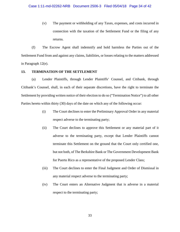(v) The payment or withholding of any Taxes, expenses, and costs incurred in connection with the taxation of the Settlement Fund or the filing of any returns.

(f) The Escrow Agent shall indemnify and hold harmless the Parties out of the Settlement Fund from and against any claims, liabilities, or losses relating to the matters addressed in Paragraph 12(e).

## **13. TERMINATION OF THE SETTLEMENT**

(a) Lender Plaintiffs, through Lender Plaintiffs' Counsel, and Citibank, through Citibank's Counsel, shall, in each of their separate discretions, have the right to terminate the Settlement by providing written notice of their election to do so ("Termination Notice") to all other Parties hereto within thirty (30) days of the date on which any of the following occur:

- (i) The Court declines to enter the Preliminary Approval Order in any material respect adverse to the terminating party;
- (ii) The Court declines to approve this Settlement or any material part of it adverse to the terminating party, except that Lender Plaintiffs cannot terminate this Settlement on the ground that the Court only certified one, but not both, of The Berkshire Bank or The Government Development Bank for Puerto Rico as a representative of the proposed Lender Class;
- (iii) The Court declines to enter the Final Judgment and Order of Dismissal in any material respect adverse to the terminating party;
- (iv) The Court enters an Alternative Judgment that is adverse in a material respect to the terminating party;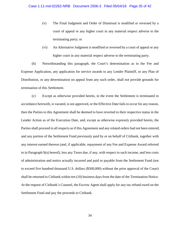- (v) The Final Judgment and Order of Dismissal is modified or reversed by a court of appeal or any higher court in any material respect adverse to the terminating party; or
- (vi) An Alternative Judgment is modified or reversed by a court of appeal or any higher court in any material respect adverse to the terminating party.

(b) Notwithstanding this paragraph, the Court's determination as to the Fee and Expense Application, any application for service awards to any Lender Plaintiff, or any Plan of Distribution, or any determination on appeal from any such order, shall not provide grounds for termination of this Settlement.

(c) Except as otherwise provided herein, in the event the Settlement is terminated in accordance herewith, is vacated, is not approved, or the Effective Date fails to occur for any reason, then the Parties to this Agreement shall be deemed to have reverted to their respective status in the Lender Action as of the Execution Date, and, except as otherwise expressly provided herein, the Parties shall proceed in all respects as if this Agreement and any related orders had not been entered, and any portion of the Settlement Fund previously paid by or on behalf of Citibank, together with any interest earned thereon (and, if applicable, repayment of any Fee and Expense Award referred to in Paragraph 9(a) hereof), less any Taxes due, if any, with respect to such income, and less costs of administration and notice actually incurred and paid or payable from the Settlement Fund (not to exceed five hundred thousand U.S. dollars (\$500,000) without the prior approval of the Court) shall be returned to Citibank within ten (10) business days from the date of the Termination Notice. At the request of Citibank's Counsel, the Escrow Agent shall apply for any tax refund owed on the Settlement Fund and pay the proceeds to Citibank.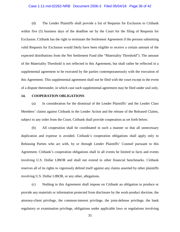## Case 1:11-md-02262-NRB Document 2506-3 Filed 05/04/18 Page 36 of 42

(d) The Lender Plaintiffs shall provide a list of Requests for Exclusion to Citibank within five (5) business days of the deadline set by the Court for the filing of Requests for Exclusion. Citibank has the right to terminate the Settlement Agreement if the persons submitting valid Requests for Exclusion would likely have been eligible to receive a certain amount of the expected distributions from the Net Settlement Fund (the "Materiality Threshold"). The amount of the Materiality Threshold is not reflected in this Agreement, but shall rather be reflected in a supplemental agreement to be executed by the parties contemporaneously with the execution of this Agreement. This supplemental agreement shall not be filed with the court except in the event of a dispute thereunder, in which case such supplemental agreement may be filed under seal only.

#### **14. COOPERATION OBLIGATIONS**

(a) In consideration for the dismissal of the Lender Plaintiffs' and the Lender Class Members' claims against Citibank in the Lender Action and the release of the Released Claims, subject to any order from the Court, Citibank shall provide cooperation as set forth below.

(b) All cooperation shall be coordinated in such a manner so that all unnecessary duplication and expense is avoided. Citibank's cooperation obligations shall apply only to Releasing Parties who act with, by or through Lender Plaintiffs' Counsel pursuant to this Agreement. Citibank's cooperation obligations shall in all events be limited to facts and events involving U.S. Dollar LIBOR and shall not extend to other financial benchmarks. Citibank reserves all of its rights to vigorously defend itself against any claims asserted by other plaintiffs involving U.S. Dollar LIBOR, or any other, allegations.

(c) Nothing in this Agreement shall impose on Citibank an obligation to produce or provide any materials or information protected from disclosure by the work-product doctrine, the attorney-client privilege, the common-interest privilege, the joint-defense privilege, the bank regulatory or examination privilege, obligations under applicable laws or regulations involving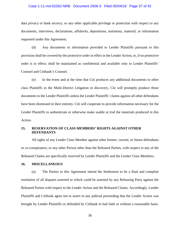## Case 1:11-md-02262-NRB Document 2506-3 Filed 05/04/18 Page 37 of 42

data privacy or bank secrecy, or any other applicable privilege or protection with respect to any documents, interviews, declarations, affidavits, depositions, testimony, material, or information requested under this Agreement.

(d) Any documents or information provided to Lender Plaintiffs pursuant to this provision shall be covered by the protective order in effect in the Lender Action, or, if no protective order is in effect, shall be maintained as confidential and available only to Lender Plaintiffs' Counsel and Citibank's Counsel.

(e) In the event and at the time that Citi produces any additional documents to other class Plaintiffs in the Multi-District Litigation in discovery, Citi will promptly produce those documents to the Lender Plaintiffs unless the Lender Plaintiffs' claims against all other defendants have been dismissed in their entirety. Citi will cooperate to provide information necessary for the Lender Plaintiffs to authenticate or otherwise make usable at trial the materials produced in this Action.

# **15. RESERVATION OF CLASS MEMBERS' RIGHTS AGAINST OTHER DEFENDANTS**

All rights of any Lender Class Member against other former, current, or future defendants or co-conspirators, or any other Person other than the Released Parties, with respect to any of the Released Claims are specifically reserved by Lender Plaintiffs and the Lender Class Members.

## **16. MISCELLANEOUS**

(a) The Parties to this Agreement intend the Settlement to be a final and complete resolution of all disputes asserted or which could be asserted by any Releasing Party against the Released Parties with respect to the Lender Action and the Released Claims. Accordingly, Lender Plaintiffs and Citibank agree not to assert in any judicial proceeding that the Lender Action was brought by Lender Plaintiffs or defended by Citibank in bad faith or without a reasonable basis.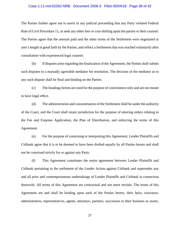## Case 1:11-md-02262-NRB Document 2506-3 Filed 05/04/18 Page 38 of 42

The Parties further agree not to assert in any judicial proceeding that any Party violated Federal Rule of Civil Procedure 11, or seek any other fees or cost-shifting upon the parties or their counsel. The Parties agree that the amount paid and the other terms of the Settlement were negotiated at arm's length in good faith by the Parties, and reflect a Settlement that was reached voluntarily after consultation with experienced legal counsel.

(b) If disputes arise regarding the finalization of the Agreement, the Parties shall submit such disputes to a mutually agreeable mediator for resolution. The decision of the mediator as to any such dispute shall be final and binding on the Parties.

(c) The headings herein are used for the purpose of convenience only and are not meant to have legal effect.

(d) The administration and consummation of the Settlement shall be under the authority of the Court, and the Court shall retain jurisdiction for the purpose of entering orders relating to the Fee and Expense Application, the Plan of Distribution, and enforcing the terms of this Agreement.

(e) For the purpose of construing or interpreting this Agreement, Lender Plaintiffs and Citibank agree that it is to be deemed to have been drafted equally by all Parties hereto and shall not be construed strictly for or against any Party.

(f) This Agreement constitutes the entire agreement between Lender Plaintiffs and Citibank pertaining to the settlement of the Lender Action against Citibank and supersedes any and all prior and contemporaneous undertakings of Lender Plaintiffs and Citibank in connection therewith. All terms of this Agreement are contractual and not mere recitals. The terms of this Agreement are and shall be binding upon each of the Parties hereto, their heirs, executors, administrators, representatives, agents, attorneys, partners, successors to their business or assets,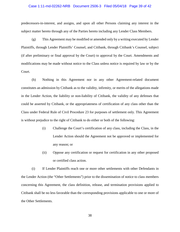#### Case 1:11-md-02262-NRB Document 2506-3 Filed 05/04/18 Page 39 of 42

predecessors-in-interest, and assigns, and upon all other Persons claiming any interest in the subject matter hereto through any of the Parties hereto including any Lender Class Members.

(g) This Agreement may be modified or amended only by a writing executed by Lender Plaintiffs, through Lender Plaintiffs' Counsel, and Citibank, through Citibank's Counsel, subject (if after preliminary or final approval by the Court) to approval by the Court. Amendments and modifications may be made without notice to the Class unless notice is required by law or by the Court.

(h) Nothing in this Agreement nor in any other Agreement-related document constitutes an admission by Citibank as to the validity, infirmity, or merits of the allegations made in the Lender Action, the liability or non-liability of Citibank, the validity of any defenses that could be asserted by Citibank, or the appropriateness of certification of any class other than the Class under Federal Rule of Civil Procedure 23 for purposes of settlement only. This Agreement is without prejudice to the right of Citibank to do either or both of the following:

- (i) Challenge the Court's certification of any class, including the Class, in the Lender Action should the Agreement not be approved or implemented for any reason; or
- (ii) Oppose any certification or request for certification in any other proposed or certified class action.

(i) If Lender Plaintiffs reach one or more other settlements with other Defendants in the Lender Action (the "Other Settlements") prior to the dissemination of notice to class members concerning this Agreement, the class definition, release, and termination provisions applied to Citibank shall be no less favorable than the corresponding provisions applicable to one or more of the Other Settlements.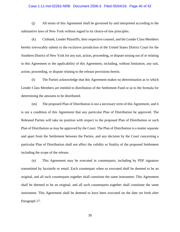## Case 1:11-md-02262-NRB Document 2506-3 Filed 05/04/18 Page 40 of 42

(j) All terms of this Agreement shall be governed by and interpreted according to the substantive laws of New York without regard to its choice-of-law principles.

(k) Citibank, Lender Plaintiffs, their respective counsel, and the Lender Class Members hereby irrevocably submit to the exclusive jurisdiction of the United States District Court for the Southern District of New York for any suit, action, proceeding, or dispute arising out of or relating to this Agreement or the applicability of this Agreement, including, without limitation, any suit, action, proceeding, or dispute relating to the release provisions herein.

(l) The Parties acknowledge that this Agreement makes no determination as to which Lender Class Members are entitled to distribution of the Settlement Fund or as to the formula for determining the amounts to be distributed.

(m) The proposed Plan of Distribution is not a necessary term of this Agreement, and it is not a condition of this Agreement that any particular Plan of Distribution be approved. The Released Parties will take no position with respect to the proposed Plan of Distribution or such Plan of Distribution as may be approved by the Court. The Plan of Distribution is a matter separate and apart from the Settlement between the Parties, and any decision by the Court concerning a particular Plan of Distribution shall not affect the validity or finality of the proposed Settlement including the scope of the release.

(n) This Agreement may be executed in counterparts, including by PDF signature transmitted by facsimile or email. Each counterpart when so executed shall be deemed to be an original, and all such counterparts together shall constitute the same instrument. This Agreement shall be deemed to be an original, and all such counterparts together shall constitute the same instrument. This Agreement shall be deemed to have been executed on the date set forth after Paragraph 17.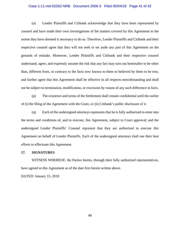## Case 1:11-md-02262-NRB Document 2506-3 Filed 05/04/18 Page 41 of 42

(o) Lender Plaintiffs and Citibank acknowledge that they have been represented by counsel and have made their own investigations of the matters covered by this Agreement to the extent they have deemed it necessary to do so. Therefore, Lender Plaintiffs and Citibank and their respective counsel agree that they will not seek to set aside any part of this Agreement on the grounds of mistake. Moreover, Lender Plaintiffs and Citibank and their respective counsel understand, agree, and expressly assume the risk that any fact may turn out hereinafter to be other than, different from, or contrary to the facts now known to them or believed by them to be true, and further agree that this Agreement shall be effective in all respects notwithstanding and shall not be subject to termination, modification, or rescission by reason of any such difference in facts.

(p) The existence and terms of the Settlement shall remain confidential until the earlier of (i) the filing of the Agreement with the Court, or (ii) Citibank's public disclosure of it.

(q) Each of the undersigned attorneys represents that he is fully authorized to enter into the terms and conditions of, and to execute, this Agreement, subject to Court approval; and the undersigned Lender Plaintiffs' Counsel represent that they are authorized to execute this Agreement on behalf of Lender Plaintiffs. Each of the undersigned attorneys shall use their best efforts to effectuate this Agreement.

### **17. SIGNATURES**

WITNESS WHEREOF, the Parties hereto, through their fully authorized representatives, have agreed to this Agreement as of the date first herein written above.

DATED: January 15, 2018